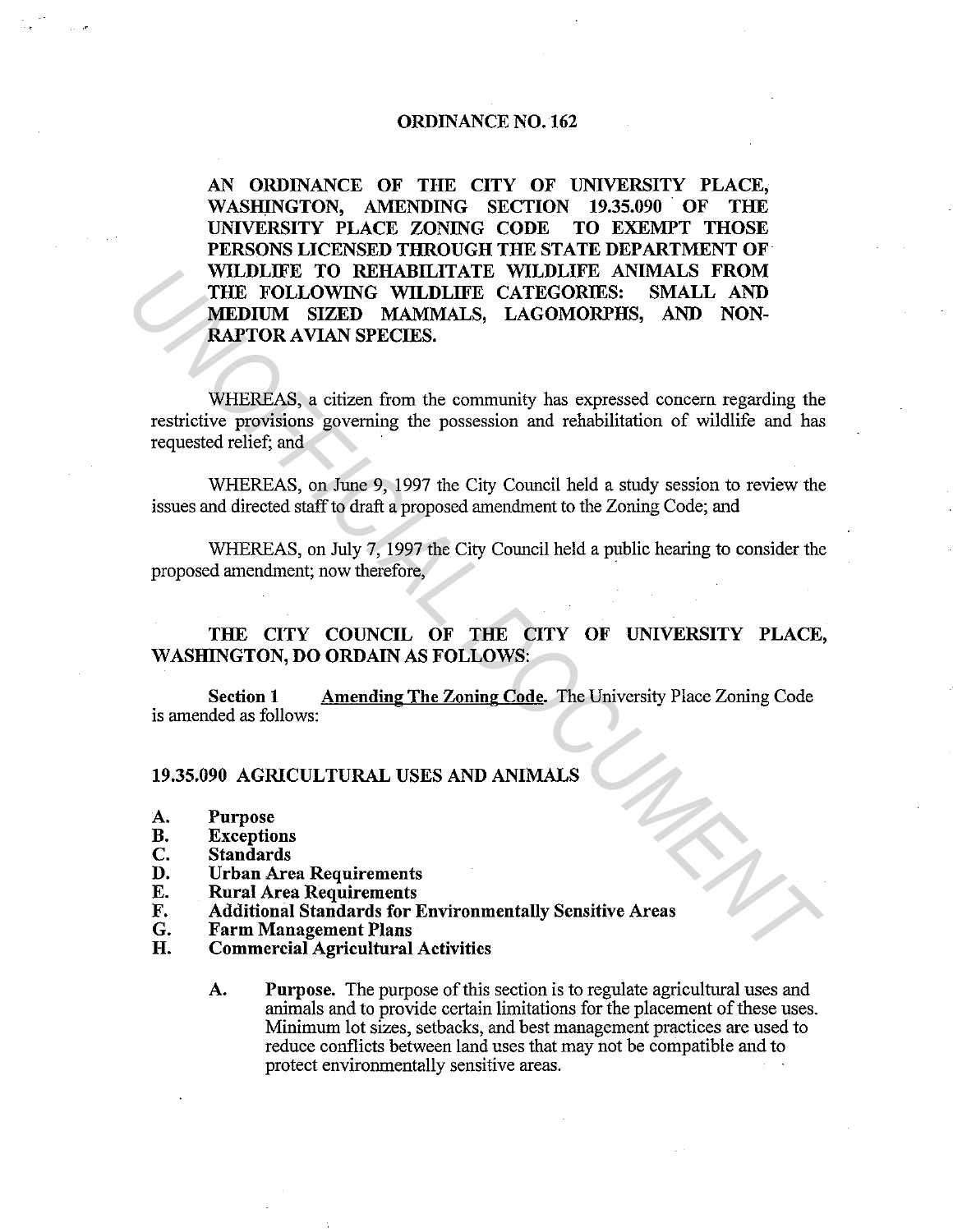## ORDINANCE N0.162

AN ORDINANCE OF THE CITY OF UNIVERSITY PLACE, WASHINGTON, AMENDING SECTION 19.35.090 OF THE UNIVERSITY PLACE ZONING CODE TO EXEMPT THOSE PERSONS LICENSED THROUGH THE STATE DEPARTMENT OF WILDLIFE TO REHABILITATE WILDLIFE ANIMALS FROM THE FOLLOWING WILDLIFE CATEGORIES: SMALL AND MEDIUM SIZED MAMMALS, LAGOMORPHS, AND NON-RAPTOR AVIAN SPECIES. WILDLIFE TO REHABILITATE WILDLIFE CANNALS FROM<br>
THE FOLLOWING WILDLIFE CATEGORIES: SMALL AND<br> **MEDIUM SIZED MAMMALS, LAGOMORPHS, SMALL AND**<br> **WHEREAS, a** citizen from the community has expressed concern regarding the<br>
requ

WHEREAS, a citizen from the community has expressed concern regarding the restrictive provisions governing the possession and rehabilitation of wildlife and has requested relief; and

WHEREAS, on June 9, 1997 the City Council held a study session to review the issues and directed staff to draft a proposed amendment to the Zoning Code; and

WHEREAS, on July 7, 1997 the City Council held a public hearing to consider the proposed amendment; now therefore,

THE CITY COUNCIL OF THE CITY OF UNIVERSITY PLACE, WASHINGTON, DO ORDAIN AS FOLLOWS:

Section 1 Amending The Zoning Code. The University Place Zoning Code is amended as follows:

## 19.35.090 AGRICULTURAL USES AND ANIMALS

- A. Purpose<br>B. Exceptio
- **B.** Exceptions<br>C. Standards
- Standards
- D. Urban Area Requirements<br>E. Rural Area Requirements
- E. Rural Area Requirements<br>F. Additional Standards for I
- F. Additional Standards for Environmentally Sensitive Areas
- G. Farm Management Plans<br>H. Commercial Agricultural
- Commercial Agricultural Activities
	- A. Purpose. The purpose of this section is to regulate agricultural uses and animals and to provide certain limitations for the placement of these uses. Minimum lot sizes, setbacks, and best management practices are used to reduce conflicts between land uses that may not be compatible and to protect environmentally sensitive areas.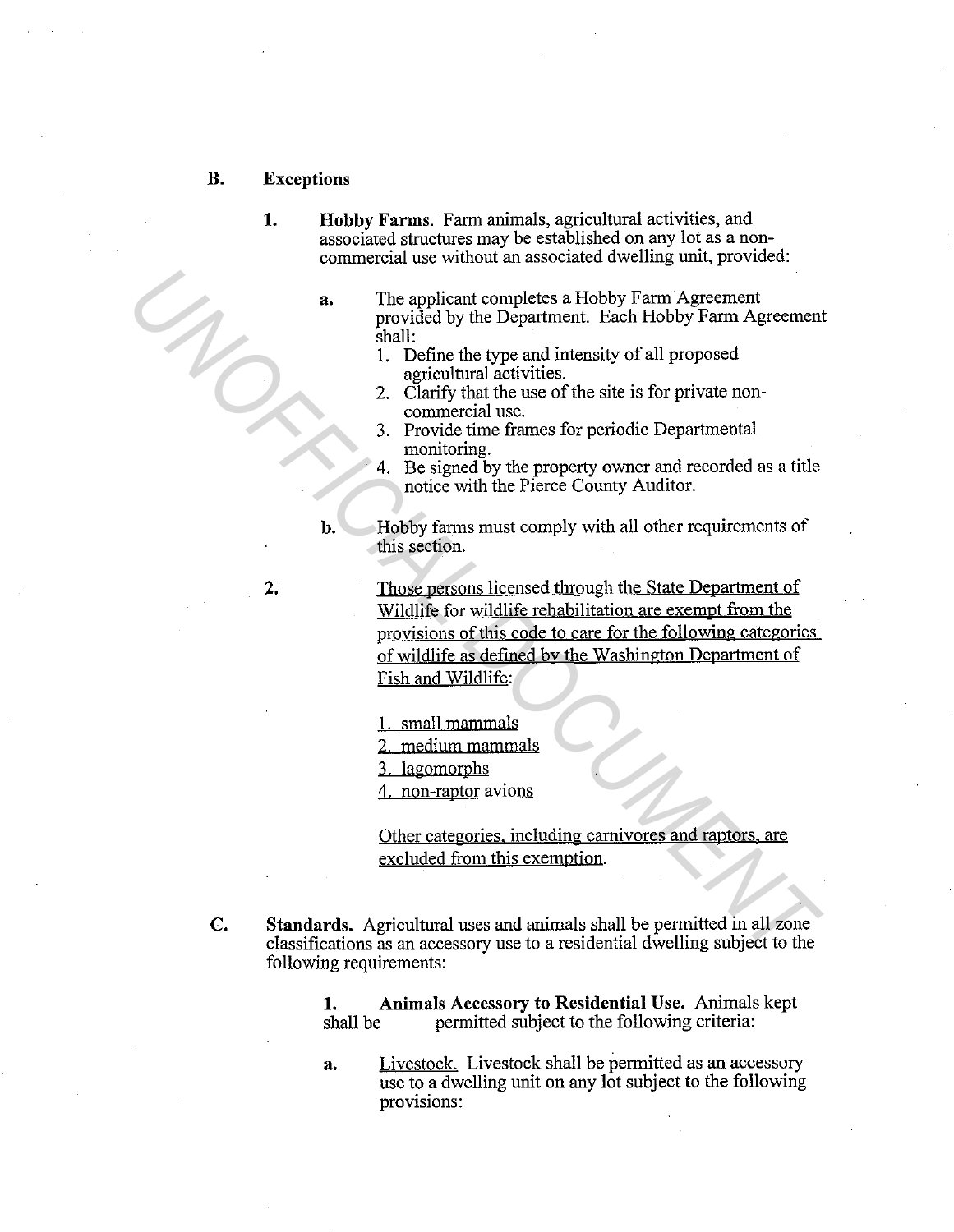- B. Exceptions
	- 1. Hobby Farms. Farm animals, agricultural activities, and associated structures may be established on any lot as a noncommercial use without an associated dwelling unit, provided:
		- a. The applicant completes a Hobby Farm Agreement provided by the Department. Each Hobby Farm Agreement shall:
			- 1. Define the type and intensity of all proposed agricultural activities.
			- 2. Clarify that the use of the site is for private noncommercial use.
			- 3. Provide time frames for periodic Departmental monitoring.
			- Be signed by the property owner and recorded as a title notice with the Pierce County Auditor.
		- b. Hobby farms must comply with all other requirements of this section.
- Those persons licensed through the State Department of Wildlife for wildlife rehabilitation are exempt from the provisions of this code to care for the following categories of wildlife as defined by the Washington Department of Fish and Wildlife: **1.** The applicant completes a Hobby Farm Agreement<br>
provided by the Department. Each Hobby Farm Agreement<br>
shall. Define the type and intensity of all proposed<br>
2. Clarify dual the use of the site is for private non-<br>
2.
	- 1. small mammals
	- 2. medium mammals
	- 3. lagomorphs
	- 4. non-raptor avions

Other categories. including carnivores and raptors. are excluded from this exemption.

C. Standards. Agricultural uses and animals shall be permitted in all zone classifications as an accessory use to a residential dwelling subject to the following requirements:

> 1. Animals Accessory to Residential Use. Animals kept shall be permitted subject to the following criteria:

a. Livestock. Livestock shall be permitted as an accessory use to a dwelling unit on any lot subject to the following provisions:

2.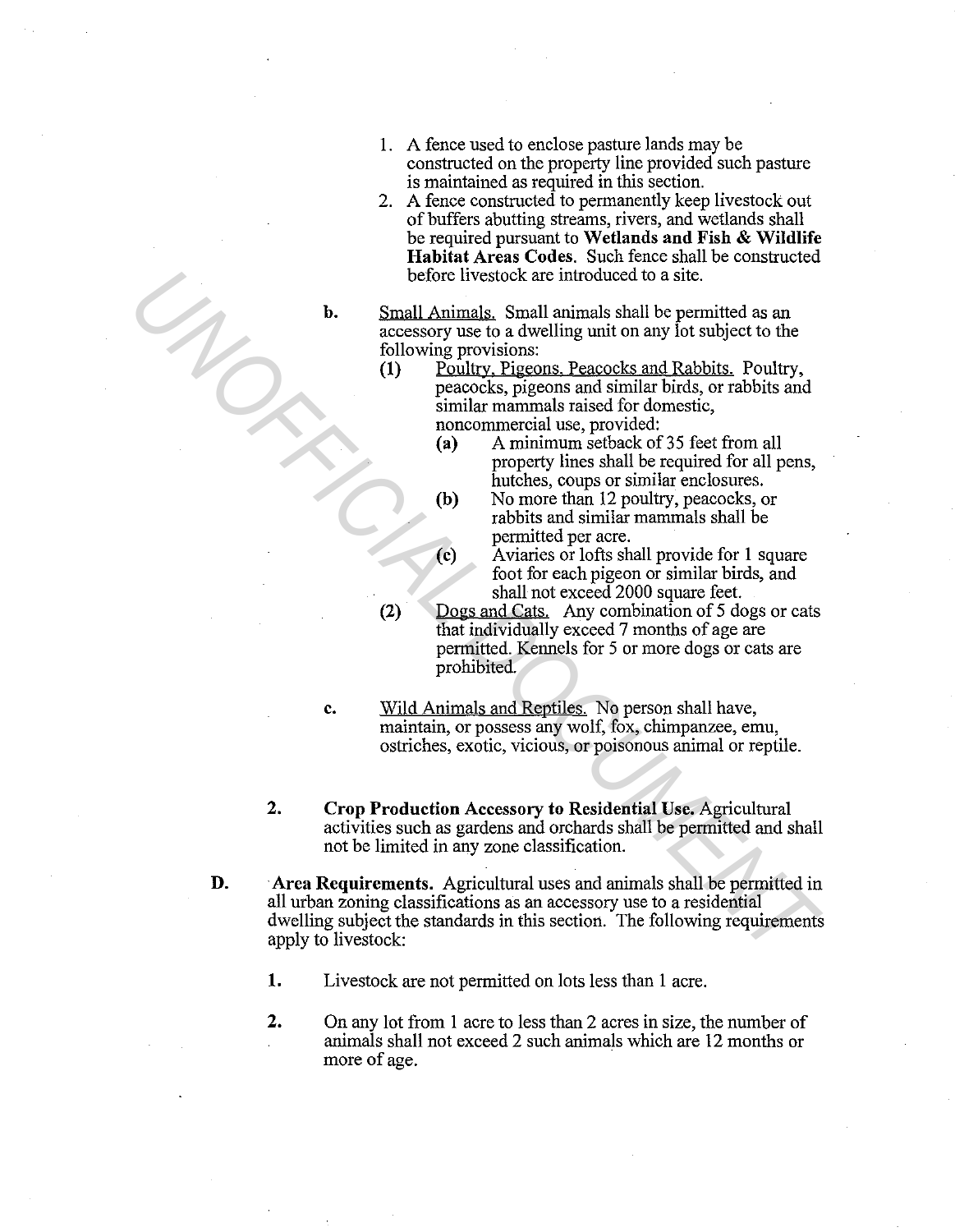- 1. A fence used to enclose pasture lands may be constructed on the property line provided such pasture is maintained as required in this section.
- 2. A fence constructed to permanently keep livestock out of buffers abutting streams, rivers, and wetlands shall be required pursuant to **Wetlands and Fish & Wildlife Habitat Areas Codes.** Such fence shall be constructed before livestock are introduced to a site.
- 

**b.** Small Animals. Small animals shall be permitted as an accessory use to a dwelling unit on any lot subject to the following provisions:

- **(1)** Poultry, Pigeons, Peacocks and Rabbits. Poultry, peacocks, pigeons and similar birds, or rabbits and similar mammals raised for domestic, noncommercial use, provided:
	- (a) A minimum setback of 35 feet from all property lines shall be required for all pens, hutches, coups or similar enclosures.
	- **(b)** No more than 12 poultry, peacocks, or rabbits and similar mammals shall be permitted per acre.
	- ( **c)** Aviaries or lofts shall provide for 1 square foot for each pigeon or similar birds, and shall not exceed 2000 square feet.
- **(2)** Dogs and Cats. Any combination of 5 dogs or cats that individually exceed 7 months of age are permitted. Kennels for 5 or more dogs or cats are prohibited.
- **c.** Wild Animals and Reptiles. No person shall have, maintain, or possess any wolf, fox, chimpanzee, emu, ostriches, exotic, vicious, or poisonous animal or reptile.
- **2. Crop Production Accessory to Residential Use.** Agricultural activities such as gardens and orchards shall be permitted and shall not be limited in any zone classification.
- **D. ·Area Requirements.** Agricultural uses and animals shall be permitted in all urban zoning classifications as an accessory use to a residential dwelling subject the standards in this section. The following requirements apply to livestock: before livestock are introduced to a site.<br> **Solution** limiting, Simall animilars hall be permitted as an accessory use to a dwelling unit on any lot subject to the following provisions:<br>
(1) Polulty, Pigeons. Peacocks and
	- **1.** Livestock are not permitted on lots less than **1** acre.
	- **2.** On any lot from 1 acre to less than 2 acres in size, the number of animals shall not exceed 2 such animals which are 12 months or more of age.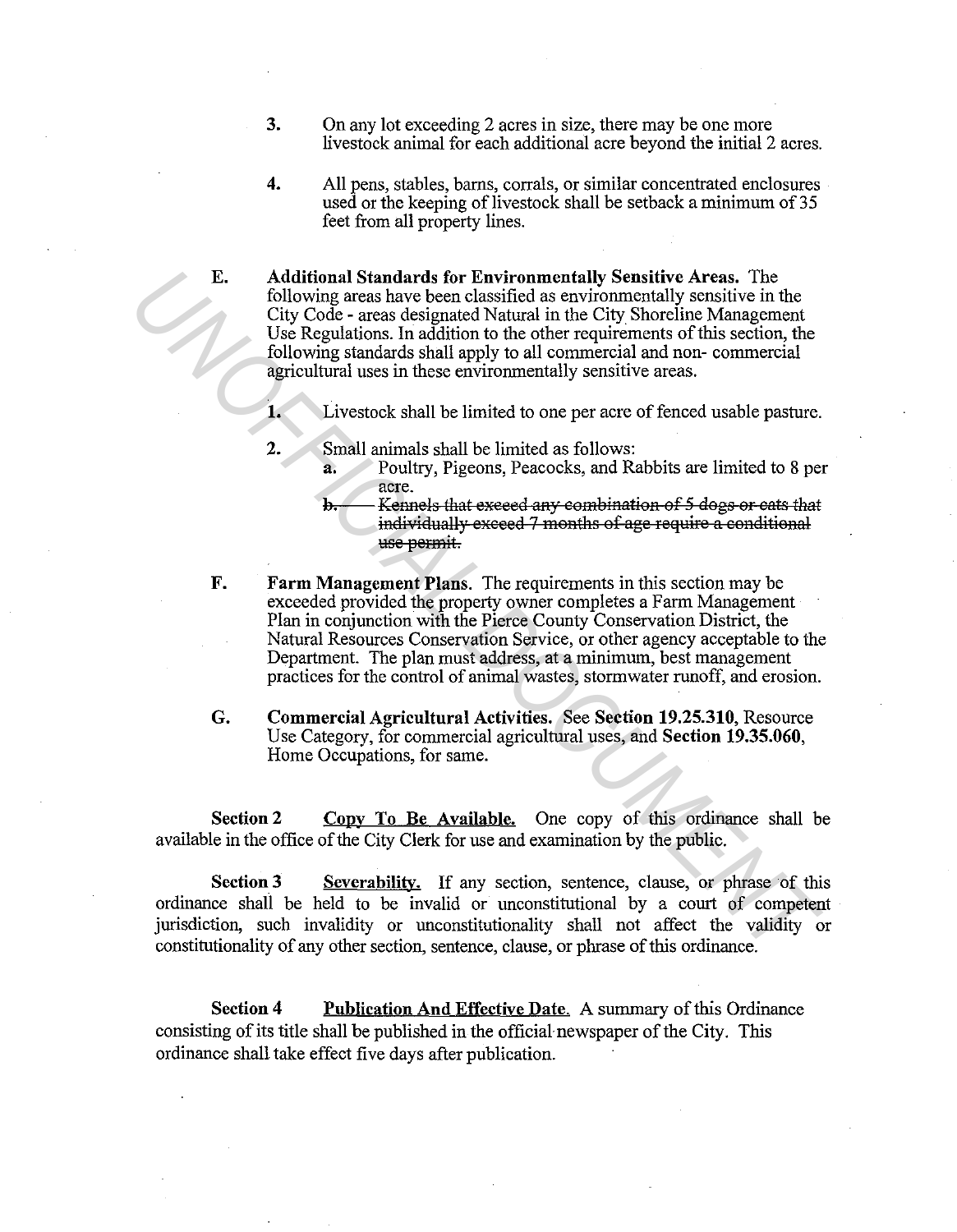- **3.** On any lot exceeding 2 acres in size, there may be one more livestock animal for each additional acre beyond the initial 2 acres.
- **4.** All pens, stables, barns, corrals, or similar concentrated enclosures used or the keeping of livestock shall be setback a minimum of 35 feet from all property lines.

**E. Additional Standards for Environmentally Sensitive Areas.** The following areas have been classified as environmentally sensitive in the City Code - areas designated Natural in the City Shoreline Management Use Regulations. In addition to the other requirements of this section, the following standards shall apply to all commercial and non- commercial agricultural uses in these environmentally sensitive areas.

**1.** Livestock shall be limited to one per acre of fenced usable pasture.

- **2.** Small animals shall be limited as follows:
	- a. Poultry, Pigeons, Peacocks, and Rabbits are limited to 8 per acre.
	- Kennels that exceed any combination of 5 dogs or cats that individually exceed 7 months of age require a conditional use permit.
- **F. Farm Management Plans.** The requirements in this section may be exceeded provided the property owner completes a Farm Management Plan in conjunction with the Pierce County Conservation District, the Natural Resources Conservation Service, or other agency acceptable to the Department. The plan must address, at a minimum, best management practices for the control of animal wastes, stormwater runoff, and erosion. **E.** Additional Standards for Environmentally Sensitive Areas. The City Code - areas designated Natural in the City Shoreline Management (30 USe Regulations. In addition to the other requirements of this section, the follo
	- **G. Commercial Agricultural Activities.** See **Section 19.25.310,** Resource Use Category, for commercial agricultural uses, and **Section 19.35.060,**  Home Occupations, for same.

Section 2 Copy To Be Available. One copy of this ordinance shall be available in the office of the City Clerk for use and examination by the public.

**Section 3** Severability. If any section, sentence, clause, or phrase of this ordinance shall be held to be invalid or unconstitutional by a court of competent jurisdiction, such invalidity or unconstitutionality shall not affect the validity or constitutionality of any other section, sentence, clause, or phrase of this ordinance.

**Section 4** Publication And Effective Date. A summary of this Ordinance consisting of its title shall be published in the official newspaper of the City. This ordinance shall take effect five days after publication.